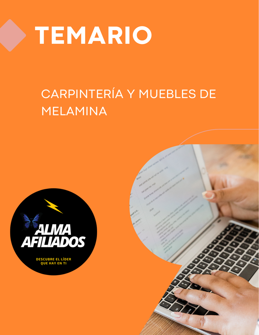

## CARPINTERÍA Y MUEBLES DE MELAMINA



**DESCUBRE EL LÍDER<br>QUE HAY EN TI** 

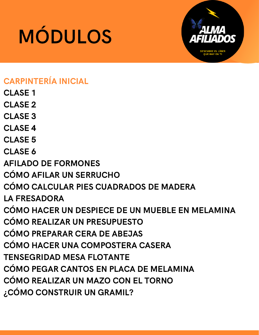

## CARPINTERÍA INICIAL

- CLASE 1
- CLASE<sub>2</sub>
- CLASE 3
- CLASE 4
- CLASE 5
- CLASE 6
- AFILADO DE FORMONES
- CÓMO AFILAR UN SERRUCHO
- CÓMO CALCULAR PIES CUADRADOS DE MADERA
- LA FRESADORA
- CÓMO HACER UN DESPIECE DE UN MUEBLE EN MELAMINA
- CÓMO REALIZAR UN PRESUPUESTO
- CÓMO PREPARAR CERA DE ABEJAS
- CÓMO HACER UNA COMPOSTERA CASERA
- TENSEGRIDAD MESA FLOTANTE
- CÓMO PEGAR CANTOS EN PLACA DE MELAMINA
- CÓMO REALIZAR UN MAZO CON EL TORNO
- ¿CÓMO CONSTRUIR UN GRAMIL?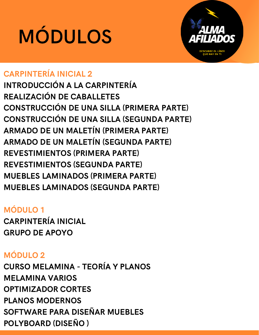

### CARPINTERÍA INICIAL 2

INTRODUCCIÓN A LA CARPINTERÍA REALIZACIÓN DE CABALLETES CONSTRUCCIÓN DE UNA SILLA (PRIMERA PARTE) CONSTRUCCIÓN DE UNA SILLA (SEGUNDA PARTE) ARMADO DE UN MALETÍN (PRIMERA PARTE) ARMADO DE UN MALETÍN (SEGUNDA PARTE) REVESTIMIENTOS (PRIMERA PARTE) REVESTIMIENTOS (SEGUNDA PARTE) MUEBLES LAMINADOS (PRIMERA PARTE) MUEBLES LAMINADOS (SEGUNDA PARTE)

### MÓDULO 1

CARPINTERÍA INICIAL GRUPO DE APOYO

### MÓDULO 2

CURSO MELAMINA - TEORÍA Y PLANOS MELAMINA VARIOS OPTIMIZADOR CORTES PLANOS MODERNOS SOFTWARE PARA DISEÑAR MUEBLES POLYBOARD (DISEÑO )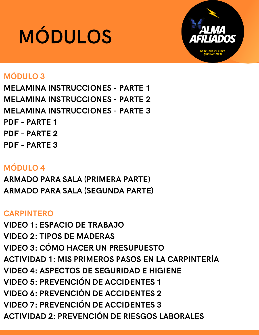

### MÓDULO 3

MELAMINA INSTRUCCIONES - PARTE 1 MELAMINA INSTRUCCIONES - PARTE 2 MELAMINA INSTRUCCIONES - PARTE 3 PDF - PARTE 1 PDF - PARTE 2 PDF - PARTE 3

### MÓDULO 4

ARMADO PARA SALA (PRIMERA PARTE) ARMADO PARA SALA (SEGUNDA PARTE)

### CARPINTERO

VIDEO 1: ESPACIO DE TRABAJO VIDEO 2: TIPOS DE MADERAS VIDEO 3: CÓMO HACER UN PRESUPUESTO ACTIVIDAD 1: MIS PRIMEROS PASOS EN LA CARPINTERÍA VIDEO 4: ASPECTOS DE SEGURIDAD E HIGIENE VIDEO 5: PREVENCIÓN DE ACCIDENTES 1 VIDEO 6: PREVENCIÓN DE ACCIDENTES 2 VIDEO 7: PREVENCIÓN DE ACCIDENTES 3 ACTIVIDAD 2: PREVENCIÓN DE RIESGOS LABORALES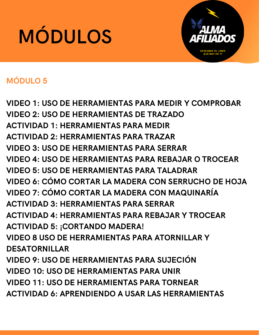

### MÓDULO 5

VIDEO 1: USO DE HERRAMIENTAS PARA MEDIR Y COMPROBAR VIDEO 2: USO DE HERRAMIENTAS DE TRAZADO ACTIVIDAD 1: HERRAMIENTAS PARA MEDIR ACTIVIDAD 2: HERRAMIENTAS PARA TRAZAR VIDEO 3: USO DE HERRAMIENTAS PARA SERRAR VIDEO 4: USO DE HERRAMIENTAS PARA REBAJAR O TROCEAR VIDEO 5: USO DE HERRAMIENTAS PARA TALADRAR VIDEO 6: CÓMO CORTAR LA MADERA CON SERRUCHO DE HOJA VIDEO 7: CÓMO CORTAR LA MADERA CON MAQUINARÍA ACTIVIDAD 3: HERRAMIENTAS PARA SERRAR ACTIVIDAD 4: HERRAMIENTAS PARA REBAJAR Y TROCEAR ACTIVIDAD 5: ¡CORTANDO MADERA! VIDEO 8 USO DE HERRAMIENTAS PARA ATORNILLAR Y DESATORNILLAR VIDEO 9: USO DE HERRAMIENTAS PARA SUJECIÓN VIDEO 10: USO DE HERRAMIENTAS PARA UNIR VIDEO 11: USO DE HERRAMIENTAS PARA TORNEAR ACTIVIDAD 6: APRENDIENDO A USAR LAS HERRAMIENTAS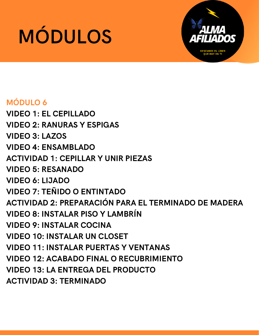

### MÓDULO 6

VIDEO 1: EL CEPILLADO VIDEO 2: RANURAS Y ESPIGAS VIDEO 3: LAZOS VIDEO 4: ENSAMBLADO ACTIVIDAD 1: CEPILLAR Y UNIR PIEZAS VIDEO 5: RESANADO VIDEO 6: LIJADO VIDEO 7: TEÑIDO O ENTINTADO ACTIVIDAD 2: PREPARACIÓN PARA EL TERMINADO DE MADERA VIDEO 8: INSTALAR PISO Y LAMBRÍN VIDEO 9: INSTALAR COCINA VIDEO 10: INSTALAR UN CLOSET VIDEO 11: INSTALAR PUERTAS Y VENTANAS VIDEO 12: ACABADO FINAL O RECUBRIMIENTO VIDEO 13: LA ENTREGA DEL PRODUCTO ACTIVIDAD 3: TERMINADO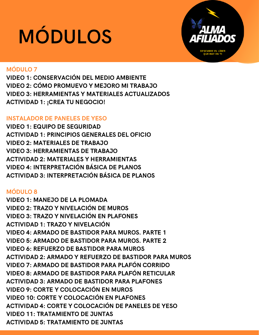

#### MÓDULO 7

VIDEO 1: CONSERVACIÓN DEL MEDIO AMBIENTE VIDEO 2: CÓMO PROMUEVO Y MEJORO MI TRABAJO VIDEO 3: HERRAMIENTAS Y MATERIALES ACTUALIZADOS ACTIVIDAD 1: ¡CREA TU NEGOCIO!

#### INSTALADOR DE PANELES DE YESO

VIDEO 1: EQUIPO DE SEGURIDAD ACTIVIDAD 1: PRINCIPIOS GENERALES DEL OFICIO VIDEO 2: MATERIALES DE TRABAJO VIDEO 3: HERRAMIENTAS DE TRABAJO ACTIVIDAD 2: MATERIALES Y HERRAMIENTAS VIDEO 4: INTERPRETACIÓN BÁSICA DE PLANOS ACTIVIDAD 3: INTERPRETACIÓN BÁSICA DE PLANOS

#### MÓDULO 8

VIDEO 1: MANEJO DE LA PLOMADA VIDEO 2: TRAZO Y NIVELACIÓN DE MUROS VIDEO 3: TRAZO Y NIVELACIÓN EN PLAFONES ACTIVIDAD 1: TRAZO Y NIVELACIÓN VIDEO 4: ARMADO DE BASTIDOR PARA MUROS. PARTE 1 VIDEO 5: ARMADO DE BASTIDOR PARA MUROS. PARTE 2 VIDEO 6: REFUERZO DE BASTIDOR PARA MUROS ACTIVIDAD 2: ARMADO Y REFUERZO DE BASTIDOR PARA MUROS VIDEO 7: ARMADO DE BASTIDOR PARA PLAFÓN CORRIDO VIDEO 8: ARMADO DE BASTIDOR PARA PLAFÓN RETICULAR ACTIVIDAD 3: ARMADO DE BASTIDOR PARA PLAFONES VIDEO 9: CORTE Y COLOCACIÓN EN MUROS VIDEO 10: CORTE Y COLOCACIÓN EN PLAFONES ACTIVIDAD 4: CORTE Y COLOCACIÓN DE PANELES DE YESO VIDEO 11: TRATAMIENTO DE JUNTAS ACTIVIDAD 5: TRATAMIENTO DE JUNTAS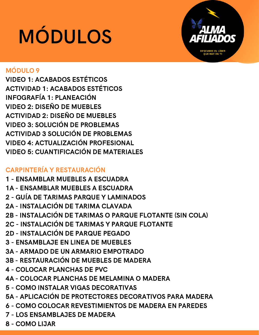

### MÓDULO 9

VIDEO 1: ACABADOS ESTÉTICOS ACTIVIDAD 1: ACABADOS ESTÉTICOS INFOGRAFÍA 1: PLANEACIÓN VIDEO 2: DISEÑO DE MUEBLES ACTIVIDAD 2: DISEÑO DE MUEBLES VIDEO 3: SOLUCIÓN DE PROBLEMAS ACTIVIDAD 3 SOLUCIÓN DE PROBLEMAS VIDEO 4: ACTUALIZACIÓN PROFESIONAL VIDEO 5: CUANTIFICACIÓN DE MATERIALES

### CARPINTERÍA Y RESTAURACIÓN

1 - ENSAMBLAR MUEBLES A ESCUADRA 1A - ENSAMBLAR MUEBLES A ESCUADRA 2 - GUÍA DE TARIMAS PARQUE Y LAMINADOS 2A - INSTALACIÓN DE TARIMA CLAVADA 2B - INSTALACIÓN DE TARIMAS O PARQUE FLOTANTE (SIN COLA) 2C - INSTALACIÓN DE TARIMAS Y PARQUE FLOTANTE 2D - INSTALACIÓN DE PARQUE PEGADO 3 - ENSAMBLAJE EN LINEA DE MUEBLES 3A - ARMADO DE UN ARMARIO EMPOTRADO 3B - RESTAURACIÓN DE MUEBLES DE MADERA 4 - COLOCAR PLANCHAS DE PVC 4A - COLOCAR PLANCHAS DE MELAMINA O MADERA 5 - COMO INSTALAR VIGAS DECORATIVAS 5A - APLICACIÓN DE PROTECTORES DECORATIVOS PARA MADERA 6 - COMO COLOCAR REVESTIMIENTOS DE MADERA EN PAREDES 7 - LOS ENSAMBLAJES DE MADERA 8 - COMO LIJAR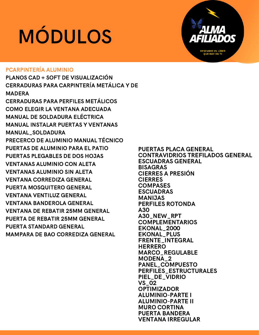

#### PCARPINTERÍA ALUMINIO

PLANOS CAD + SOFT DE VISUALIZACIÓN CERRADURAS PARA CARPINTERÍA METÁLICA Y DE **MADERA** CERRADURAS PARA PERFILES METÁLICOS COMO ELEGIR LA VENTANA ADECUADA MANUAL DE SOLDADURA ELÉCTRICA MANUAL INSTALAR PUERTAS Y VENTANAS MANUAL\_SOLDADURA PRECERCO DE ALUMINIO MANUAL TÉCNICO PUERTAS DE ALUMINIO PARA EL PATIO PUERTAS PLEGABLES DE DOS HOJAS VENTANAS ALUMINIO CON ALETA VENTANAS ALUMINIO SIN ALETA VENTANA CORREDIZA GENERAL PUERTA MOSQUITERO GENERAL VENTANA VENTILUZ GENERAL VENTANA BANDEROLA GENERAL VENTANA DE REBATIR 25MM GENERAL PUERTA DE REBATIR 25MM GENERAL PUERTA STANDARD GENERAL MAMPARA DE BAO CORREDIZA GENERAL

PUERTAS PLACA GENERAL CONTRAVIDRIOS TREFILADOS GENERAL ESCUADRAS GENERAL BISAGRAS CIERRES A PRESIÓN CIERRES **COMPASES** ESCUADRAS MANIJAS PERFILES ROTONDA A30 A30\_NEW\_RPT COMPLEMENTARIOS EKONAL\_2000 EKONAL\_PLUS FRENTE\_INTEGRAL HERRERO MARCO\_REGULABLE MODENA\_2 PANEL\_COMPUESTO PERFILES\_ESTRUCTURALES PIEL\_DE\_VIDRIO VS\_02 OPTIMIZADOR ALUMINIO-PARTE I ALUMINIO-PARTE II MURO CORTINA PUERTA BANDERA VENTANA IRREGULAR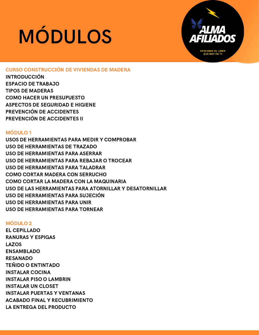

#### CURSO CONSTRUCCIÓN DE VIVIENDAS DE MADERA

INTRODUCCIÓN ESPACIO DE TRABAJO TIPOS DE MADERAS COMO HACER UN PRESUPUESTO ASPECTOS DE SEGURIDAD E HIGIENE PREVENCIÓN DE ACCIDENTES PREVENCIÓN DE ACCIDENTES II

#### MÓDULO 1

USOS DE HERRAMIENTAS PARA MEDIR Y COMPROBAR USO DE HERRAMIENTAS DE TRAZADO USO DE HERRAMIENTAS PARA ASERRAR USO DE HERRAMIENTAS PARA REBAJAR O TROCEAR USO DE HERRAMIENTAS PARA TALADRAR COMO CORTAR MADERA CON SERRUCHO COMO CORTAR LA MADERA CON LA MAQUINARIA USO DE LAS HERRAMIENTAS PARA ATORNILLAR Y DESATORNILLAR USO DE HERRAMIENTAS PARA SUJECIÓN USO DE HERRAMIENTAS PARA UNIR USO DE HERRAMIENTAS PARA TORNEAR

#### MÓDULO 2

EL CEPILLADO RANURAS Y ESPIGAS LAZOS ENSAMBLADO RESANADO TEÑIDO O ENTINTADO INSTALAR COCINA INSTALAR PISO O LAMBRIN INSTALAR UN CLOSET INSTALAR PUERTAS Y VENTANAS ACABADO FINAL Y RECUBRIMIENTO LA ENTREGA DEL PRODUCTO